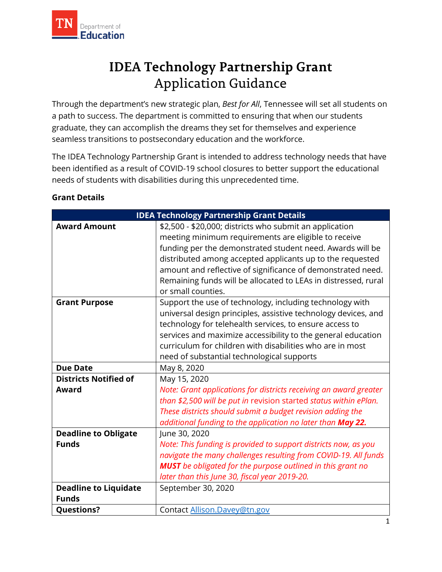

# Application Guidance **IDEA Technology Partnership Grant**

 a path to success. The department is committed to ensuring that when our students Through the department's new strategic plan, *Best for All*, Tennessee will set all students on graduate, they can accomplish the dreams they set for themselves and experience seamless transitions to postsecondary education and the workforce.

 needs of students with disabilities during this unprecedented time. The IDEA Technology Partnership Grant is intended to address technology needs that have been identified as a result of COVID-19 school closures to better support the educational

| <b>IDEA Technology Partnership Grant Details</b> |                                                                    |  |  |  |
|--------------------------------------------------|--------------------------------------------------------------------|--|--|--|
| <b>Award Amount</b>                              | \$2,500 - \$20,000; districts who submit an application            |  |  |  |
|                                                  | meeting minimum requirements are eligible to receive               |  |  |  |
|                                                  | funding per the demonstrated student need. Awards will be          |  |  |  |
|                                                  | distributed among accepted applicants up to the requested          |  |  |  |
|                                                  | amount and reflective of significance of demonstrated need.        |  |  |  |
|                                                  | Remaining funds will be allocated to LEAs in distressed, rural     |  |  |  |
|                                                  | or small counties.                                                 |  |  |  |
| <b>Grant Purpose</b>                             | Support the use of technology, including technology with           |  |  |  |
|                                                  | universal design principles, assistive technology devices, and     |  |  |  |
|                                                  | technology for telehealth services, to ensure access to            |  |  |  |
|                                                  | services and maximize accessibility to the general education       |  |  |  |
|                                                  | curriculum for children with disabilities who are in most          |  |  |  |
|                                                  | need of substantial technological supports                         |  |  |  |
| <b>Due Date</b>                                  | May 8, 2020                                                        |  |  |  |
| <b>Districts Notified of</b>                     | May 15, 2020                                                       |  |  |  |
| <b>Award</b>                                     | Note: Grant applications for districts receiving an award greater  |  |  |  |
|                                                  | than \$2,500 will be put in revision started status within ePlan.  |  |  |  |
|                                                  | These districts should submit a budget revision adding the         |  |  |  |
|                                                  | additional funding to the application no later than May 22.        |  |  |  |
| <b>Deadline to Obligate</b>                      | June 30, 2020                                                      |  |  |  |
| <b>Funds</b>                                     | Note: This funding is provided to support districts now, as you    |  |  |  |
|                                                  | navigate the many challenges resulting from COVID-19. All funds    |  |  |  |
|                                                  | <b>MUST</b> be obligated for the purpose outlined in this grant no |  |  |  |
|                                                  | later than this June 30, fiscal year 2019-20.                      |  |  |  |
| <b>Deadline to Liquidate</b>                     | September 30, 2020                                                 |  |  |  |
| <b>Funds</b>                                     |                                                                    |  |  |  |
| <b>Questions?</b>                                | Contact Allison.Davey@tn.gov                                       |  |  |  |

#### **Grant Details**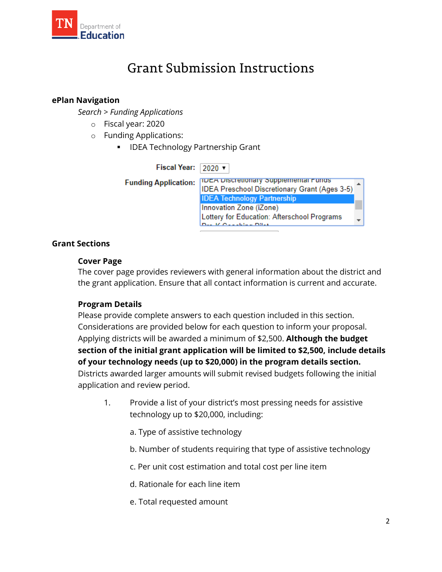

### Grant Submission Instructions

#### **ePlan Navigation**

*Search > Funding Applications* 

- o Fiscal year: 2020
- o Funding Applications:
	- **IDEA Technology Partnership Grant**

Fiscal Year: 2020 v **TIDEA DISCretionary Supplemental Funds Funding Application: IDEA Preschool Discretionary Grant (Ages 3-5) IDEA Technology Partnership** Innovation Zone (iZone) Lottery for Education: Afterschool Programs **Deal & Considered Dilet** 

#### **Grant Sections**

#### **Cover Page**

The cover page provides reviewers with general information about the district and the grant application. Ensure that all contact information is current and accurate.

#### **Program Details**

 application and review period. Please provide complete answers to each question included in this section. Considerations are provided below for each question to inform your proposal. Applying districts will be awarded a minimum of \$2,500. **Although the budget section of the initial grant application will be limited to \$2,500, include details of your technology needs (up to \$20,000) in the program details section.**  Districts awarded larger amounts will submit revised budgets following the initial

- 1. Provide a list of your district's most pressing needs for assistive technology up to \$20,000, including:
	- a. Type of assistive technology
	- b. Number of students requiring that type of assistive technology
	- c. Per unit cost estimation and total cost per line item
	- d. Rationale for each line item
	- e. Total requested amount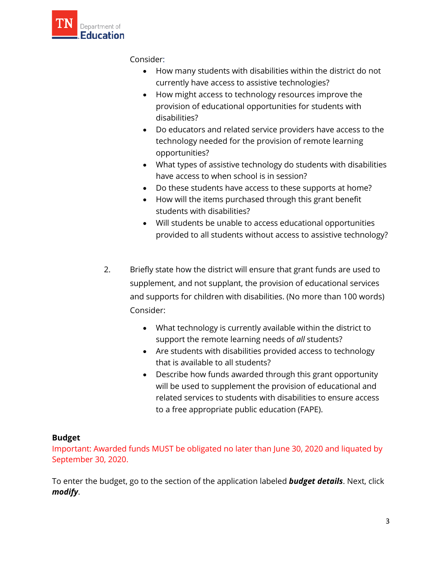

Consider:

- How many students with disabilities within the district do not currently have access to assistive technologies?
- How might access to technology resources improve the provision of educational opportunities for students with disabilities?
- Do educators and related service providers have access to the technology needed for the provision of remote learning opportunities?
- What types of assistive technology do students with disabilities have access to when school is in session?
- Do these students have access to these supports at home?
- How will the items purchased through this grant benefit students with disabilities?
- Will students be unable to access educational opportunities provided to all students without access to assistive technology?
- 2. Briefly state how the district will ensure that grant funds are used to supplement, and not supplant, the provision of educational services and supports for children with disabilities. (No more than 100 words) Consider:
	- support the remote learning needs of *all* students? • What technology is currently available within the district to
	- Are students with disabilities provided access to technology that is available to all students?
	- Describe how funds awarded through this grant opportunity will be used to supplement the provision of educational and related services to students with disabilities to ensure access to a free appropriate public education (FAPE).

#### **Budget**

 Important: Awarded funds MUST be obligated no later than June 30, 2020 and liquated by September 30, 2020.

To enter the budget, go to the section of the application labeled **budget details**. Next, click *modify*.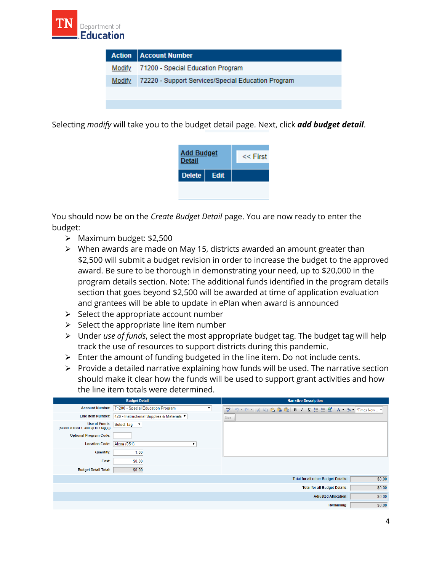

|        | <b>Action   Account Number</b>                     |
|--------|----------------------------------------------------|
|        | Modify 71200 - Special Education Program           |
| Modify | 72220 - Support Services/Special Education Program |
|        |                                                    |
|        |                                                    |

Selecting *modify* will take you to the budget detail page. Next, click *add budget detail*.



 You should now be on the *Create Budget Detail* page. You are now ready to enter the budget:

- > Maximum budget: \$2,500
- ▶ When awards are made on May 15, districts awarded an amount greater than \$2,500 will submit a budget revision in order to increase the budget to the approved award. Be sure to be thorough in demonstrating your need, up to \$20,000 in the program details section. Note: The additional funds identified in the program details section that goes beyond \$2,500 will be awarded at time of application evaluation and grantees will be able to update in ePlan when award is announced
- $\triangleright$  Select the appropriate account number
- $\triangleright$  Select the appropriate line item number
- Under *use of funds*, select the most appropriate budget tag. The budget tag will help track the use of resources to support districts during this pandemic.
- $\triangleright$  Enter the amount of funding budgeted in the line item. Do not include cents.
- $\triangleright$  Provide a detailed narrative explaining how funds will be used. The narrative section should make it clear how the funds will be used to support grant activities and how the line item totals were determined.

|                                         | <b>Budget Detail</b>                                              | <b>Narrative Description</b>                         |
|-----------------------------------------|-------------------------------------------------------------------|------------------------------------------------------|
|                                         | Account Number: 71200 - Special Education Program<br>$\mathbf{v}$ |                                                      |
|                                         | Line Item Number: 429 - Instructional Supplies & Materials ▼      | Size                                                 |
| (Select at least 1, and up to 1 tag(s)) | Use of Funds: Select Tag                                          |                                                      |
| <b>Optional Program Code:</b>           |                                                                   |                                                      |
| Location Code: Alcoa (051)              | ▼                                                                 |                                                      |
| <b>Quantity:</b>                        | 1.00                                                              |                                                      |
| Cost:                                   | \$0.00                                                            |                                                      |
| <b>Budget Detail Total:</b>             | \$0.00                                                            |                                                      |
|                                         |                                                                   | \$0.00<br><b>Total for all other Budget Details:</b> |
|                                         |                                                                   | \$0.00<br><b>Total for all Budget Details:</b>       |
|                                         |                                                                   | \$0.00<br><b>Adjusted Allocation:</b>                |
|                                         |                                                                   | \$0.00<br><b>Remaining:</b>                          |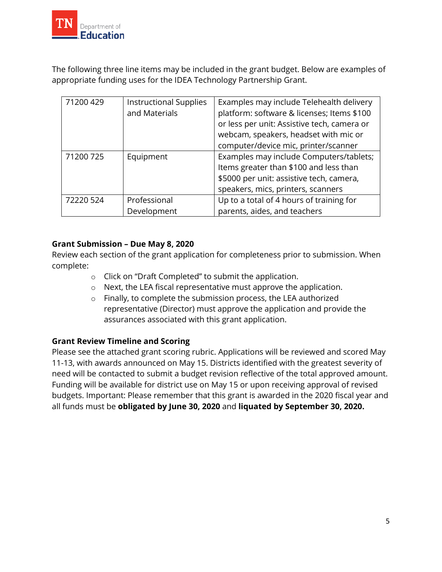

 appropriate funding uses for the IDEA Technology Partnership Grant. The following three line items may be included in the grant budget. Below are examples of

| 71200 429 | <b>Instructional Supplies</b><br>and Materials | Examples may include Telehealth delivery<br>platform: software & licenses; Items \$100<br>or less per unit: Assistive tech, camera or |
|-----------|------------------------------------------------|---------------------------------------------------------------------------------------------------------------------------------------|
|           |                                                | webcam, speakers, headset with mic or<br>computer/device mic, printer/scanner                                                         |
|           |                                                |                                                                                                                                       |
| 71200 725 | Equipment                                      | Examples may include Computers/tablets;                                                                                               |
|           |                                                | Items greater than \$100 and less than                                                                                                |
|           |                                                | \$5000 per unit: assistive tech, camera,                                                                                              |
|           |                                                | speakers, mics, printers, scanners                                                                                                    |
| 72220 524 | Professional                                   | Up to a total of 4 hours of training for                                                                                              |
|           | Development                                    | parents, aides, and teachers                                                                                                          |

#### **Grant Submission – Due May 8, 2020**

Review each section of the grant application for completeness prior to submission. When complete:

- o Click on "Draft Completed" to submit the application.
- o Next, the LEA fiscal representative must approve the application.
- o Finally, to complete the submission process, the LEA authorized representative (Director) must approve the application and provide the assurances associated with this grant application.

#### **Grant Review Timeline and Scoring**

 11-13, with awards announced on May 15. Districts identified with the greatest severity of Funding will be available for district use on May 15 or upon receiving approval of revised all funds must be **obligated by June 30, 2020** and **liquated by September 30, 2020.** Please see the attached grant scoring rubric. Applications will be reviewed and scored May need will be contacted to submit a budget revision reflective of the total approved amount. budgets. Important: Please remember that this grant is awarded in the 2020 fiscal year and